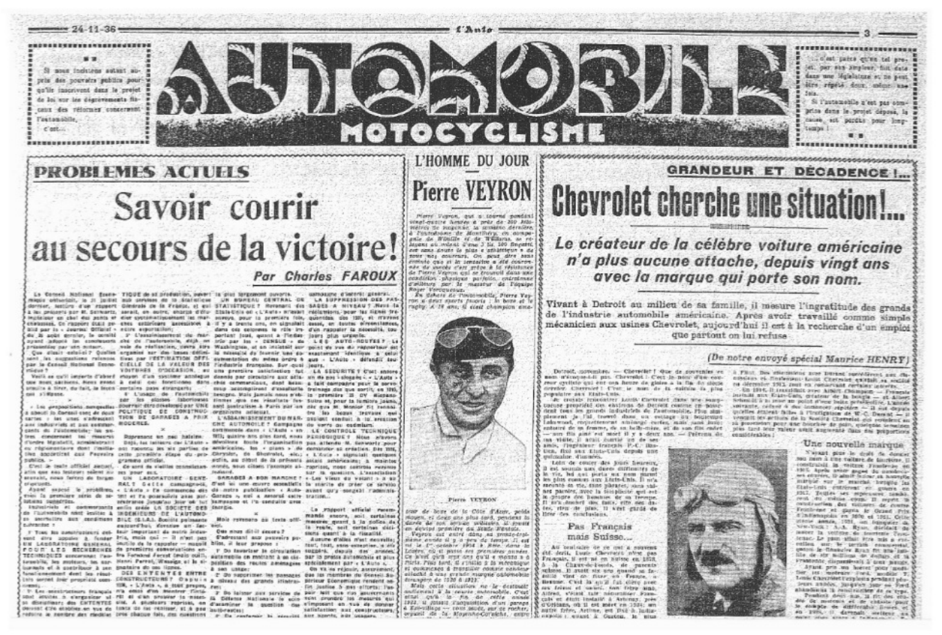

# **PROBLEMES ACTUELS** Savoir courir au secours de la victoire! Par Charles FAROUX

Le Conseil Notissal doute TIQUE de si production, puert' la gius lorganont punoris. migus entertait, is it justet aux cervises de la Statistique dernier, lesture d'un repent Ginerale de la France, et est STATISTIQUE? Revenant des SADES A NIVEAU? Next la C a no neconstruct of the concert, parall, on oping, charge didly. Elais-Unit of cl./Auto- minute: midginisms, pour far lights fro lectation on chef des pants et dier explomatiscienent les man. sowoys, pour la première fois, quantites, dos 130, et rraveres chaussen, Co rapport Diali pe- ches estimients assessiblet à il y a trente one, on pignolait quasi, en tautes dimensiances, blid par is < Journal Official - netre exportation;

 $-24 - 11 - 36$ 

leg pay with pulsars. par le Censeil National Renno- CIELLE DE LA VALEUR DES Findastria française. Bur qual jeurs. milieux 1

primilia à Since, du fait, la bioto portales, pass divengars; cast stiffmene.

a shech is Cansail cant at pour POLITIQUE DE CONSTRUC organisme adjoint. ant industries at our exempt. RODERES. cants do restometide- les exfres concernant tai massivo) Roorenane ain mail hateless: d'undre Mgratatit, acceleintratit Debt, but including our L'Auto -

numbers, in promera atticles. Cost is teate official autom).

atin que ses festeurs salent au pes pour sus. seurabl, news ferero do Inram-LABORATOIRE - GENE-

ed warranger. this is problem sink do so tel of he morpholes was not. Gerana a soil a second catty tration. oten: subscribe. zéséranze jusqu'au joie où tut bampagne et l'a conduite avec ingustrials at communication and in erele in SOCIETE DES Entrale. de l'automobile nent leuitez à INGENIEURS DE L'AUTOMOzo secretibre aux conditions paul (6.1.4.1. Société poissante substantiat in extravelligi, doverige an lac- tool.

If Yous his panahigpiners aus. Insir important do motro induseand dire appairs & funder fris, mais out - it n'est pay **EN LANGRATOIRE GENERAL** inctile de la rappator - magnit FOUR LES RECHERCHES de premières esquarientique en-

iuntels et à postribuor à sen gnataire do pas lizzes. unalismenteent deel les résul-

108, - L'Auto », è ttor propeo, racc P. Les montrietaurs francois (Va débit d'un montrer finité upot anyche in elergenicar al-rill al d'an problèm la mates da Collense Mallonsie le solo on discussioner: des ENTENTES Dist. A géussions reprises, en d'acaminer la question du timposant en tue de donner deviet cite etablies en tue de teats de les realiser, at à pas authrautes: reduire le nombre des medèles (Pils chaque fois, des questions : p. De involunter

usmasame: d'interè: génèral UN BUREAU CENTRAL DE LA SUPPRESSION DES PASdans ola colorenta le rôle im- d'un rappaier la nicessité, tou-

es à acet genier, le conité . l' Censimientest de fair partest jout, quant à l'indie jours plus urgente.<br>quant adopte le constructs she de l'autorenie, sigh en plu par les « CENSUS » de . LES AUTO-ROUTES? Le vole de réalisation, pours sirs Wazhington, et an intistait aur point de vue du régnoriour est Que almit astaici? Quellet organize sur des bases défini- la savegité dy fournir une du exactement identique a petui gue dizar com-o r guerre - par restriction offi- symmetries du même ordre è que - L'Auto - détendit tou-

voiremen crockasion, au una première intichation fut. LA SEDURITE 7 C'est antore Vails as cu'il importe d'abord muyon d'un sostème anniegue dennis par circulaire que atta. un de nos valogate i « L'Auts » ter Pret sachiers. Piers exec. a celui cui fonctiones dans chie commanique, dant beau: a fait companie pour le porvo trup accomptirent d'excellotte trainage des que sortit; en 1993, 6' L'usage, de l'automobile besogno Mais Jamais nous meb. la promière B. DV dispano per les elesses laboriouses timmes que ces visualtats fus- Suiza at pour la lumiore jaune. / Los propopitions nonquelles Dourrell Etro creatorei par VNE sent particulism a Paris par un dèc que M. Monico dit rennoi tro las begun travaux lewi L'ASSAINISSEMENT DU N'AR- papient confuit à la terration

CHE AUTONOILE? Campagne de verre ou cadmium. commence dam .: L'Aute - an ... LE CONTROLE TECHNIQUE 1913; quisine ans plus tand, nous PERIODIQUE 1 Nous alayers. devolters foute Perganisation pas attendu M. Genwortz pour eu régionnelleve dont l'atilie pot raponna de six parties de embricaine. les « plans » de constitue as création. Des this the according cut Fermins cette pression stage du pro Chrysler, de Ghomslet, elc.; « L'Aute » signatali quelques estin, au sitoit de la présenta asiale americaine; à maintes Ce anni da s'allite connelesan monés, nous citaes l'annuple al- raprizer, mose comitte vavance **Dealership** Sur in question, A'sspeciation

SARADES A BOR MARCHE? +-Les Vieux du VINANT > 3 82 RAL 2 Gelie campagnets, d'est el une cours constituit la marite de prier ce sareito Asset superi le problème, « L'Auta » l'a commercie dis di notra publication « Auto-avent qu'y songabi r'adminis

> La rosport afficial recenmande shoors, soil certaines Mole revenues as texts offimeeting geard à la collea de le route, soit certaines dici-One when distinguished stons quant' à la rissatité. Cadressant aux peuvelrs pe-

Auguste d'Alles n'est neuvelle; bliss, il leur grapose : test, tout, sans exception, a vit-I' Do tavariser la circulation supplies, depuis des arouse; TECHNIQUES accomunic rap- tre Forenoi Ferrat (muis ouil), agginemente en mottant à se che. par la protez automobile et plus tenebis, les moteurs, les aur. Hanni Parrol, Wassign at la al- position des routes neuenages apérinfement par « L'Auto s, On va is rejouir, assuranted

& sen unuser DES ENTENTES ENTRE . 2 00 supprimer les namages due its membras du Sonseil Suthis served disk propriets com- CONSTRUCTEURS? Ospuis a sheats dis grands itintral- piricur Economique rendent onfor looking A may offered : Her-

3 Do laisser put services de Pair leit cus rios gouvernants your providing too measures wall satisfaction par constructours. L ally howels, adv treasury.

Merry Vegron, auf a tourne pendent vant-musice Newton a prox de-200 Anto-Welver de Propense, la semiene devalere a Postedyous de Montfrey, co acepte gale de Winite et de Williams, as re-<br>Museu au mâssi d'ene J lic 100 Septiti. cet sons goute la plus e adhistieun a de four me; courrars, On pour dire hene. retails als a strasses of it can almost née de membr c'est grêce à la république<br>de Pierre Vegron qui se trouvoit dans une cendidlov paysique parfeite, calralesse Roger Verdguesuz. En deherr de l'automobile, Pierre Vey

IOTOCYCLISM

L'HOMME DU JOUR

on a deux shorts fourie ; in home et is ants missions, their distribution and



#### Pierre VETRON

tear de bone de la Côte d'Azer, pelds stopen, et descripto plus said, pendent in en deutpd promière du Stade Westale.

Veyrou así entre dans la pronte-èroine le de capitable rent à Rein dans la Eclades, c.O. (C. Watton Ave. delaminator consules) Ce alort gird any any guill a monta a d Paris. Paus turd, il s'initia à la mérenique el compienza à travallier compie vandeur ailectif à une grande marque salomobile direceptra de 1520 à 1922.

Mais cette situation ne le écatouair nileneal à la course minischile. C'est girls is fin de cette année 1922. u. joisett Tanguinition d'un parapa a Est-rillage -- rous sauce, sur ce rocher,

**Pierre VEYRON Chevrolet cherche une situation!** 

### Le créateur de la célèbre voiture américaine n'a plus aucune attache, depuis vingt ans avec la marque qui porte son nom.

Vivant à Detroit au milieu de sa famille, il mesure l'ingratitude des grands de l'industrie automobile américaine. Après avoir travaillé comme simple mécanicien aux usines Chevrolet, aujourd'hui il est à la recherche d'un emploi que partout on lui refuse

### (De notre envoyé spécial Manrice HENRY)

Detroit, concentra, - Chevellet I due de convenier en nom m'étoque-t-fi par. Chevrolot : C'est la nom d'au conreur cyclisto qui ent con heure de gisice a la fia de ciècie forefor. Cherrolet ! - C'est; is now dy in entitie in plus complete sex Etats-Unis.

At crossly resonancer Londa Controlet date are semptueuse propriété des entirens de Detreit contrac en pouc dent tess les grands industriebs de l'automobile, Plus stepplement ja J'ai troveo dans un estage du boulevant Lakowood, coquettencent aminously-certes, mais sunk in entorre de sa femme, de sa bello-mère, et de son fits cadet. - son fils aine est mort il y a deux ans. - Petrena de

ma vidite, il acali convid un de ser-<br>amis, l'impenieur français (P.C.: Rus-<br>tien, fixò sex filmis-Unis depuis une entroature, 450 mbs.

Loin de couler des jours heureux, est sounds nax dues contentres de la vie, he ast porta un nom parmi les plus connus aux Etats-Cals. Il no'a specially on vie, same pheases, parts vidnes parales, avec la ditoplicité qui auttopre des bondues de sa trempe. Il in's America des fants, etto nec dades viers de blus 11 ster envis de liner des conclusions.

### Pas Francais mais Suisse...

Att beatraire de ce qui a souvent 4td. derit, Lugie Chevrotti n'ese pas Français, if est né en Suisse en 1878. 5 .- 15 Chrev-de-Fouris, de parents gottle vint on finar an France. a Bernsen, Chief la antil fut chiefe avec sex freese of callers, son from dine, Alfred, s'étant tubr néquentière, Formcals et dinit installé à Arbinex, poès d'Oridans, où il est mert en 1934. autre frère, Arthur, est Dic à India-L superior r. quant a Cartest. In situa

5 Filmt. Des effectionens auto Bureau punctierent aus dicontent of finalement facts Chermist existall as socials re décretion 1913, Jest en conservant certains interfax.

10 determine 1913, fitti en conservant correspondent de la fittigation de la fittigation de la fittigation de la fittigation de la fittigation de la fittigation de la fittigation de la fittigation de la fittigation de la quielles étaient failes à l'incrienteur de W.C. Derant - il centrit les actions de la Sostéra Chevrelot coi resinient en sù provinciam peur une biocelele de point montgone temelnes plus fard less valeur avait asgrevate dans des proportions envelopedates 1

Une nouvelle marque

**CERTIFICARTESSESSESSES** clest pains ctree tel areet, par she simpless, full data

dans une législature et ne peut

dire répaid door manne au

Si l'autamentie n'est pas sons

prise dans le projet deposé, la

cause, act pardas pour long-

Sala.

temps

**GRANDEUR ET DECADENCE !...** 

N'estat site le doit de Amerisau nem à tite vallare de tinctions. Il construbili la veiture Frantenze en 1905: Après avoir gagne du mondercamirese vor le marché hoppine les Etals-link entrevent en grace en 1917. Teutev ses repiraures neads. rent du même quisi Il seprit in mistraction del tittares de couts Fruntresse et gagna le Geand Prix.<br>d'Indianapolis en 160p el 1911, Cette utenie annua, 1921, un bunquier di New-York ? A.A. Ryan, dicidall de lester la vottote de feestesie (esto tenae. Le paus athait leve mis a eu collen aur le territé commercial entrol le financier Eran fet ans intlile de str millions de dollars et la Frantence dispossibus() à tres benale

Ayard prin on horsel pice models Lonie Chevrolet Fergletta product jelo leurs années, jusqu'an juar su Perd. abandonus is rendraziten de ce trps. Pendesk drift-has, if fit des era-

de modesta et de chânds (pauz 30 compte de difficentes firmes et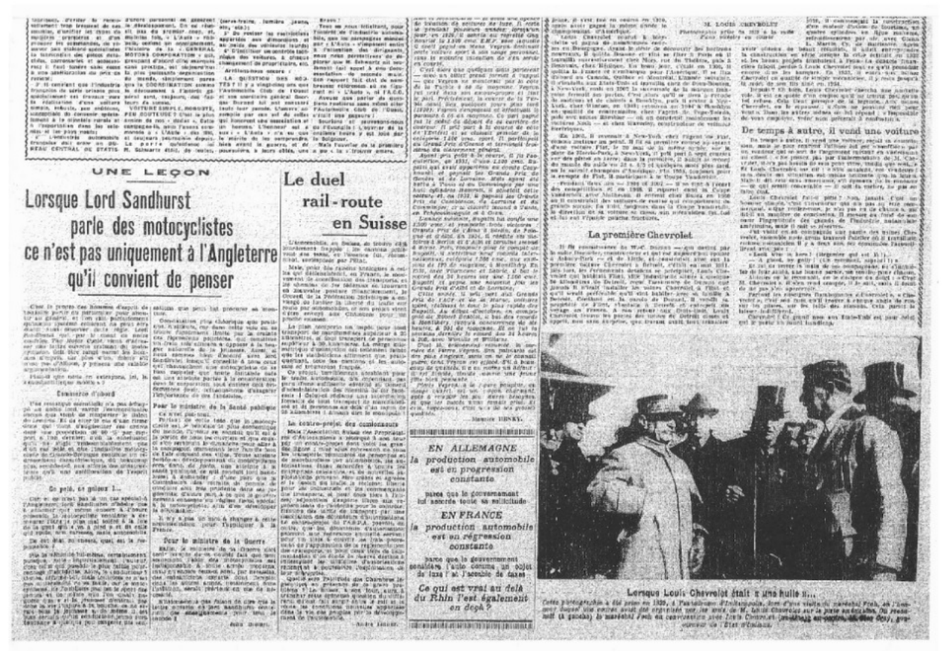teamses, Journey to reveal distant personal on assessed (personated), lemitre Jason, scripture: from treasest de cas. la diratosporant. On se réal- aix, acali consider, stanifier let rapes six all, less du promise, coup. at. securities, convenience, an allow employees folk, a Literate + rich apparation and alimorations of commence, de yo. belly contrad on consignement, as juste, dee vehicules intridu earer pay stakens specialistes l'histoire de la « GRNRHAL chile, computariet at assesses, prespant d'aisont-dine-manuels, racy it faul fonder same need same proclips, not skilleers has a son application ou prix on ta plus justicents negationistion By mends, simplement pares. numeration F. IL cerefant gas l'industria lors la COORDINATION sonnes française de série prisons pous le découssent à l'aitorit gaquickelisient ask francis were nord sunt, included one fact of you concludes pandral floorréalisation d'une solitare faure de succes. i simale, bibaste, per endidone, . Vortunt Esmas c.monagri, leute lear pennis. L'amere ao "Pacielholla Giab de<br>I connection de convenir quiete. PEU SOUTEVOC è Chat le plus remplie par un sul de celles c'elet une paperre l tomant & le divertele rarate et Arcies de res - doduc », Oato '4ti Rocerent une executation et | Souriers et seuresproint-

**Brass** Team on your foliations, major interest late (Findered Play automatic U. Do explane has explicituded bile, ann inc naranagess mining mor - A'dute - s'impagnet autia fattestian das dirigeants. 41 Erlegislauer um genärtige tann Wedge the well-yes. A shower more mean percentivers' do de player one in futurerly not peocharacement de proprietoire, etc. Bettern Call Arrest & their chains Artilaculosos secore c

montation de procede main. LA: quitation bes into con-report fait did de non TEST II y a vingt-cinq one cost bresser reterentes at re figu l'Automobile Club de l'Ouest rant al « L'Auto », ni l'A.C.C. Aveuer and parler do more use Dormed Ad and encessed place resolutes same refers also VOITURE EMPLE, ROBODYE, THAT THAT periods. L'univer, no. PAutomotive, Glub. 06: / Danis,

Troportation dans bes sale campages-in, note Favors com- in horone. L'hennese sul a co Filosogia i L'opyrier de la moveds a c UAUS r dis 196, sur : « L'Auts v n'a su que contemy bours y est lous dan Le porte quisitemp, le bien event le govre, et de Mais Fouvrier de la promis-

rail-route

REAU CENTRAL OU DYATTS M. Galwartz didd. de nestes poursuivre, a learn oblds, une a pa c la s'irouver emere.

### UNE LEOON Le duel Lorsque Lord Sandhurst parle des motocyclistes ce n'est pas uniquement à l'Angleterre considerant fragois ; les cantota polishot, enricopted par Pittat, qu'il convient de penser Ins qui debleischfeinit, en France, le snocvament de constitucion des transports, et en kinnvalle postare fritancièrement, le Crevell de la Pédénation Melvirique a en

testime portir au perturniter pour about, ture

to an gradual, of the children as prop afty. Constitutions from each other was an ex-<br>quite country control entire region. Level training characterized limits pur the creation<br>country to children and the country of the chi confrint. The Hoter Catle, vices d'africe un frain son climate a oppose à la tea-

transalar dail araw an go-

Plan-is give note on exterporal int, in on the attribute pacter à la consecution is a total contribution, in AM to a 1

#### Contrarco d'obsed

The recording esterlight of a pea actuape as goods long, rayner responses in the de Lemaria Et de hiter de ciu d'aux firme : Portant de cotto ledo, que la impieza dealer was provided to the Crown and Control Cultural an additional companies  $\mathcal{L}(\mathcal{L},\mathcal{L},\mathcal{L})$  and the contraction matter is a compact dimensional and the contraction of the contraction matter is a compact dimensional and the contraction of the contraction of the contraction of the contra receiving

#### Go pelò, ne goleex 1 ...

a stacker que volve ensert a l'onire la sincasa eprimento, la idolocycliste venuisme a de-<br>meaner rotte je plus mai solfre à la love<br>de la gret din e vo à plut p et da calle old reside, nrw. carsenes, mais accounting

the cut drint no expects, quant cut in run-

plus be withinitie full-indice, cortabulations (series formate during counts data, que termipunkin sikharide tulentikas, ormanisanska kontribuse de de os condita.<br>Punkin sikharide inpunkin sikharide (m. 1918)<br>Con colli qui punkin sikharide plus tallin punki, indikamentar A. 1910 - Article morentan,<br>consage tallin  $\label{eq:3} \begin{minipage}[t]{.09\textwidth} \begin{minipage}[t]{.09\textwidth} \begin{itemize} \color{blue}{\textbf{0.93}\textwidth} \begin{itemize} \color{blue}{\textbf{0.93}\textwidth} \begin{itemize} \color{blue}{\textbf{0.93}\textwidth} \begin{itemize} \color{blue}{\textbf{0.93}\textwidth} \begin{itemize} \color{blue}{\textbf{0.93}\textwidth} \begin{itemize} \color{blue}{\textbf{0.93}\textwidth} \begin{itemize} \color{blue}{\textbf{0.93}\textwidth} \begin{itemize} \color{blue}{\textbf{0.93}\$ 

vasgo de luniter la liberté du louise sur Clest in propre des hommes d'aspris de patique, que peux hat précurse sa moroute par subchancelor, or son proget vised. resting existing.

transport de marchenstaca auparisur a 25 thirnetrei, al foul transpirt de personne

on uns attrope parter à la consolerazion per uffere estimente edebroi au Conecil<br>deve de componient sous contenen qua des- d'administrativa des moments de cor mom Tim/cetence do una fabistatea.

Poar le missistre de la Santé pablique Ce weet pas-tout.

La contro-prejot des comionneurs res d'Autocamiens a réserve à son tras

Contrateurs das versions de pensas de el le lesion de lindis la reclamat de grand Cut is good to provide the special of Bostnia, glancy part, a campus is goodner.

> It was a goal to mind a shanger a center necessicates pour Temicus à la Frence.

Pour le ministre de la Guerre. Fig. 5. In the collection of the company of the contract of the contract of the contract of the contract of the contract of the contract of the contract of the contract of the contract of the contract of the contract of t bear arrevented

de internon de settunes de luze. A costa AR HANDARY MOLDONIA MANAGER DOMANTING Bourlet is 1300 conc. EMF. see inquale onthe voltare aport & one nange perrossed. art leggent C'est digre que puedeum quits personnel

divo an offict prend jormet a risposiother Venezum are more-former room by collela Turble è ce de moscune. Festun-July 1998 Matts and excountations at July ir aud. Previdencent, la concrete de la Tita. 344 openi, New qualquez yours play cord. duration o co ex receivos. Co vieti parto rus le coduz du désert de su carrière courgur. It pris part à la course de cotte cologicio 1.100 uno, operi, il periocipoli direc du claterment project.

Agent pris point & in course, it jis Fao.<br>culerion, an 1931, d'une 2.100 cmc, Bu. patri aut evair augentine ex conde Ceny-Annual of paynell for Grands Priz de satture 41, on 1932, il pagnati les Grands.<br>Pris de Cambiénos, de Lorraine et du<br>Cambigoy, crac clavelli insand à Tants.

en Tchécoslouquis et à Cres.<br>L'asiace suissant, suparts ha conforme .<br>L'100 'este, et rempurer .bob. victoires en Suisse Dranda Pris de Câma à Savin, de Fein the of child on rand of essenty the title L'Avennobile, au Selana, de trouve climdolves & Berlin et d'Albi et covultet Jesses d direct, Ports response giver to comple air. nalayesus, relépose r260 ene, our exmplay de 170 de suprime, à Monthay En Male, prior the random analogues a relrogont des 34 heares sur une 1.160 euro Bugetti, ci prove, nac mouvent you see

Citie année. Il sell pert aux Grende Priz de LACP-le de la Branse, politiera sport, visibunt in door in play replies dire Bagaiti, Au ditter d'estobre, in compoonld die Robert Beaton, is bes des enwel-

one are not a proprie constructing the air bearing. A part of the strained and an interest of the construction of the part of the part of the part of the part of the part of the part of the part of the part of the part of Le plan interesserie un impôti tierre nom contribut The Debta Contract of Solar Institute that the language is been associated and the control and the term impossion pulsants of<br>our data for any control of Solar Institute the function and the institute function of

le traile, automatica, dia mpensant pas gifts blez perioder. Plants Vegena a le ripure paisplan, es gode & returned Deal and distributions of et que los hands what dreads priel. El sed at its preponents air dela silan rapidi de l'erin. on allomation it division start to manipular 1 I qualitate Manuter HRNKY,

MAIK ! Association Synce the Proprietal SUBSHIP RIPRING REGISTRATIONS

EN ALLEMAGNE production automobile est en progression constante

parce que le govvernament lul apporte toute sa solituide

**EN FRANCE** la production automobile est on régression constante

parce que la geuvernament senalders ('auto conume un color de luxe l'at l'acouble de taxes

Ce qui est vrai au delà du Rhin l'est également on deck?

**CONTINUES ON CARD AND ENDINEERING CONTINUES.** 

Briank, B. Crat. Just on control for Chin. spain anoir gaged in mime choic in characterizers, 1954 conductor Lessa Chattolet marie k blev-

felte ut papea de nemetranes entrten ett Blatteriumen, deputat belefinig de Afrodoscope Bad bootbanks newveast, il quilta Beauer et titti se fiter it Porte en li tegratiki suzeksturment chez Nors, rue du Thekes, pals 2 Secovals, chez Héritore. En boau jeur, cycule en 1300, di quitta la France et combangon pour l'Avecique, il se llux Dibert ou Cannon, Quitter et Montréal, L'année seinguir. oficatully aux 21sts-Conv at executies each discussions a New-York, roads on 2007 Is successale de la margon finispaise ferrosit ses partes, first shots qu'il se piez à recode<br>de mateurs et de chérois a Boochjun, puis il scotor a Nov-<br>kurk, cher Wintsen, en theil returnen en 2004 a Boochjou en qualité de contremains chez l'april de l'applicata. inchires Noth - at then blaveday, constructour de vellures **Electricians** 

the 1963. If covered it New-York chef region to that come metter in point. Il lit sa première course au setant d'une vatture Flat, le ro sant de la mighty contain your in more de Heerst-Park, à New-York, il prit part à vert courses port des plates on herre; dans la periodice, il buluit as wened on le saterit champion d'Amerique, Pin 1953, contenut pour

-Pendant 'Gruz' are no two of 1002 on it as one a recort dry compristions at an 1988. Il reportet come in Council vanderbilt after hintheson. Il entent char Bains en an il construisit des satisses de contact qui reinqueterant de grands streak; fla 1999, fangroes slans la floate bandietch is direction its sa votture or cases, win notes abdem fet, tubet lui eut l'Hauite pourne frontione.

### La première Chevrolet.

21-Ne considerance by WoC, Driving weight desired pasuby Barother, maintenance of daily of properties: passed in mader therewise, consider the bills, and considerate and the suit la<br>movement values Chermort a fighted, statist an animation of life ture, are Fernescents devances so processor, East, Cliemost out handcall Flies, shie ingestively since a coverage be kilomètres de Detroit, royal l'assimine de Denuis que part wealt accidently wall sint babiler avec as familie a gard wealt accelerate will start the business we can be presented in the property of the property of the property of the property of the property of the property of the property of the property of the control of the contro appets, next anyon Ausprise, upon frances avail, been creanance

at nodai canvabiler Phetophylis price in 1937 a la radiat

1010, il concessioni la construction s'en mateur d'asion de fourteme, un gustes estimates on Agus success.

reliable to come and the company of the company of the company of the company of the company of the company of the company of the company of the company of the company of the company of the company of the company of the co el-les hensu projets souheut à l'eux-La goncola franscitre falcoit perdue à Louis Cheyrnier pout ce qu'il pout-daite Chevrolei en quatité de stripie mecanicies, il y resta fosqu'à It must be seen the sind on 1954.

If will an quicke s'ren employ spall he trains past survey int refuse. Only thent pressure as in beganne, Amy money relative that the proposal introduction of the region of the power of the common the common the common of the common the common of the common of the common of the common of the common of the common of the common of the com de vous employer, yeter won présents à confuctiti a

#### De temps à sutre, il vend una voiture

To tracer a gains, it would now values, said in county sion, senio le plus constont l'affinee del sec apperfisico qui on yendrer get se aut de l'argement suitant en variouseme an ethnic - che presed pay har their models to del M of he croter, more pas housin no seas pone ettes, madis que west, a fit Loan, Chatrab's out off ! a stile accalent, outre.to. desire suo situation, val conside hecitente civo, la faterra NIATO SI diff. First data maseriamis, will duments the be made to - or qui senate concernitie - it soit its encire, in pas so **Falley Vine** 

Louis Chevrolet future pitte ? Non, langla Close of Accord complex that therefore the main as has at hite com-<br>to-complex complex control complex and the chance a summer in the complex of control of some<br>differ an manifest de conclusion. Il generate on that do some that is<br> ambritains, mais il suit se réserve.

americans what could contract the partie des usines Clesrective restanceless if y a fresh site, no economico, l'aspecti Head aver see r.

- Look Who is horn ! (Hegewire que est lit

- A glass, by gally I (the members, signal it a ... fer de lyar samble and house paraly, un concline pens character. -Altitudes on he recent and the statement on dolpt : a Cing N. Chevrolet a divers rend company, if is suit, and a district de las pas kien apoptatolis.

Partner im einergren Bambomene a Castrolet's, « Clie vector a creat sea rain quil trepre a cheque angle de ross tattered a cheque angle de ros

hiser-holidinend.<br>Chrysdel Co gand nes aux finis-thilf est paur belg<br>est ir patir in sund londing.



Lorsque Louis Chevrolot Stalt a una hulle s... Cette plotographie a dié prim en 1929, à Partelloume d'Indhiguella, lime d'aux vieles de meréana Posta, en Fame<br>most doube les centes avec des critentes que les most de les latits dissertes aux le pierre andezade, du reas<br> compar de l'Etat Windams.

les transports penumeros de pensonnos et 74 Journal of Montester and constant for lowers. Strippens comes accounting a second constant of the constant of the pairs with the policy of property of the constant of the constant of the constant of the constant of the con societtions, danny mountee & Noutre Inc. descriptionstiem d'exporte d'arm sur re

its ironapacts, of pour doos time h Into

essis -I Onlini-of redmiss una baterete

formells de bout transport de manufaced.

finances dis antice de imments par un visualistant, que dictipidativa d'autorinativo e te contra-preject de l'ABPA, poeme, en outre, que les département d'automagine

unto de l'appointono de la reglerentative

Quello sura Patrigude din Chambros le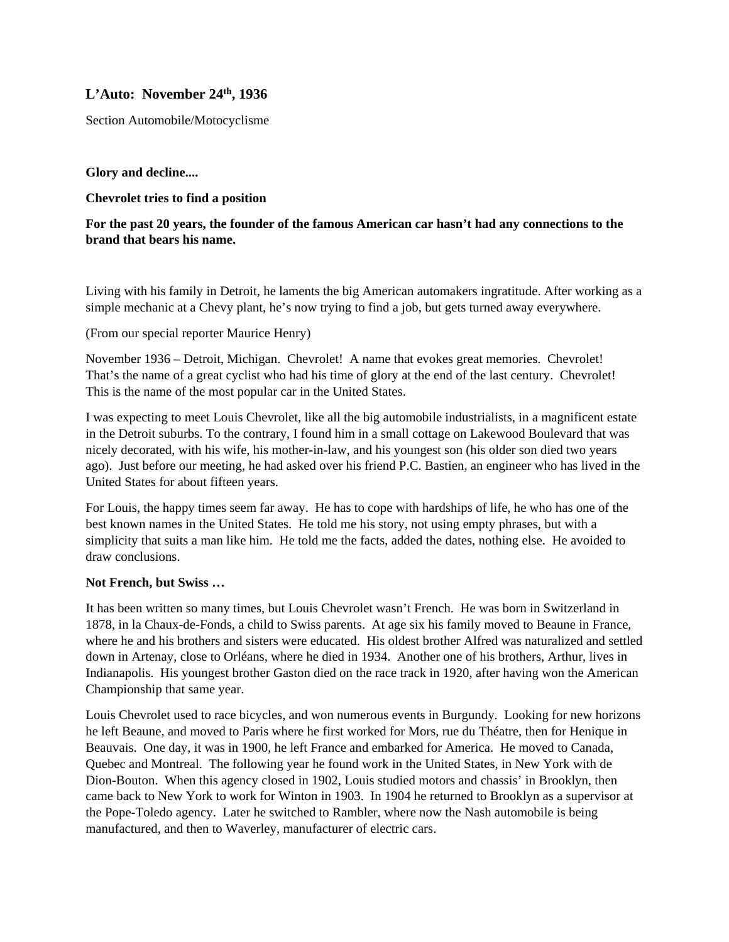# **L'Auto: November 24th, 1936**

Section Automobile/Motocyclisme

### **Glory and decline....**

### **Chevrolet tries to find a position**

## **For the past 20 years, the founder of the famous American car hasn't had any connections to the brand that bears his name.**

Living with his family in Detroit, he laments the big American automakers ingratitude. After working as a simple mechanic at a Chevy plant, he's now trying to find a job, but gets turned away everywhere.

(From our special reporter Maurice Henry)

November 1936 – Detroit, Michigan. Chevrolet! A name that evokes great memories. Chevrolet! That's the name of a great cyclist who had his time of glory at the end of the last century. Chevrolet! This is the name of the most popular car in the United States.

I was expecting to meet Louis Chevrolet, like all the big automobile industrialists, in a magnificent estate in the Detroit suburbs. To the contrary, I found him in a small cottage on Lakewood Boulevard that was nicely decorated, with his wife, his mother-in-law, and his youngest son (his older son died two years ago). Just before our meeting, he had asked over his friend P.C. Bastien, an engineer who has lived in the United States for about fifteen years.

For Louis, the happy times seem far away. He has to cope with hardships of life, he who has one of the best known names in the United States. He told me his story, not using empty phrases, but with a simplicity that suits a man like him. He told me the facts, added the dates, nothing else. He avoided to draw conclusions.

### **Not French, but Swiss …**

It has been written so many times, but Louis Chevrolet wasn't French. He was born in Switzerland in 1878, in la Chaux-de-Fonds, a child to Swiss parents. At age six his family moved to Beaune in France, where he and his brothers and sisters were educated. His oldest brother Alfred was naturalized and settled down in Artenay, close to Orléans, where he died in 1934. Another one of his brothers, Arthur, lives in Indianapolis. His youngest brother Gaston died on the race track in 1920, after having won the American Championship that same year.

Louis Chevrolet used to race bicycles, and won numerous events in Burgundy. Looking for new horizons he left Beaune, and moved to Paris where he first worked for Mors, rue du Théatre, then for Henique in Beauvais. One day, it was in 1900, he left France and embarked for America. He moved to Canada, Quebec and Montreal. The following year he found work in the United States, in New York with de Dion-Bouton. When this agency closed in 1902, Louis studied motors and chassis' in Brooklyn, then came back to New York to work for Winton in 1903. In 1904 he returned to Brooklyn as a supervisor at the Pope-Toledo agency. Later he switched to Rambler, where now the Nash automobile is being manufactured, and then to Waverley, manufacturer of electric cars.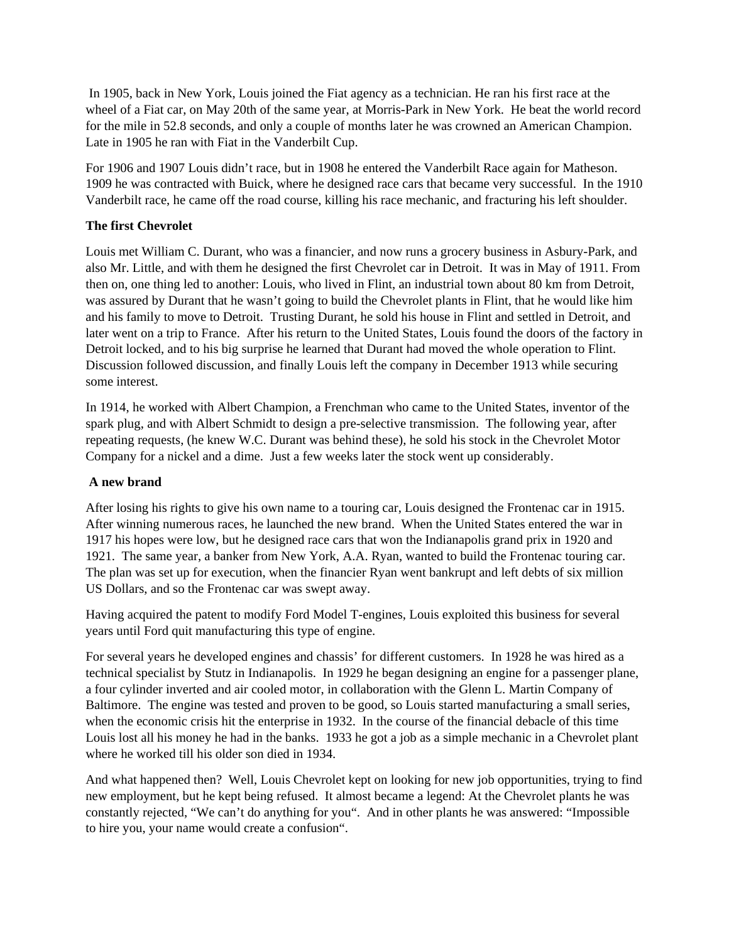In 1905, back in New York, Louis joined the Fiat agency as a technician. He ran his first race at the wheel of a Fiat car, on May 20th of the same year, at Morris-Park in New York. He beat the world record for the mile in 52.8 seconds, and only a couple of months later he was crowned an American Champion. Late in 1905 he ran with Fiat in the Vanderbilt Cup.

For 1906 and 1907 Louis didn't race, but in 1908 he entered the Vanderbilt Race again for Matheson. 1909 he was contracted with Buick, where he designed race cars that became very successful. In the 1910 Vanderbilt race, he came off the road course, killing his race mechanic, and fracturing his left shoulder.

# **The first Chevrolet**

Louis met William C. Durant, who was a financier, and now runs a grocery business in Asbury-Park, and also Mr. Little, and with them he designed the first Chevrolet car in Detroit. It was in May of 1911. From then on, one thing led to another: Louis, who lived in Flint, an industrial town about 80 km from Detroit, was assured by Durant that he wasn't going to build the Chevrolet plants in Flint, that he would like him and his family to move to Detroit. Trusting Durant, he sold his house in Flint and settled in Detroit, and later went on a trip to France. After his return to the United States, Louis found the doors of the factory in Detroit locked, and to his big surprise he learned that Durant had moved the whole operation to Flint. Discussion followed discussion, and finally Louis left the company in December 1913 while securing some interest.

In 1914, he worked with Albert Champion, a Frenchman who came to the United States, inventor of the spark plug, and with Albert Schmidt to design a pre-selective transmission. The following year, after repeating requests, (he knew W.C. Durant was behind these), he sold his stock in the Chevrolet Motor Company for a nickel and a dime. Just a few weeks later the stock went up considerably.

# **A new brand**

After losing his rights to give his own name to a touring car, Louis designed the Frontenac car in 1915. After winning numerous races, he launched the new brand. When the United States entered the war in 1917 his hopes were low, but he designed race cars that won the Indianapolis grand prix in 1920 and 1921. The same year, a banker from New York, A.A. Ryan, wanted to build the Frontenac touring car. The plan was set up for execution, when the financier Ryan went bankrupt and left debts of six million US Dollars, and so the Frontenac car was swept away.

Having acquired the patent to modify Ford Model T-engines, Louis exploited this business for several years until Ford quit manufacturing this type of engine.

For several years he developed engines and chassis' for different customers. In 1928 he was hired as a technical specialist by Stutz in Indianapolis. In 1929 he began designing an engine for a passenger plane, a four cylinder inverted and air cooled motor, in collaboration with the Glenn L. Martin Company of Baltimore. The engine was tested and proven to be good, so Louis started manufacturing a small series, when the economic crisis hit the enterprise in 1932. In the course of the financial debacle of this time Louis lost all his money he had in the banks. 1933 he got a job as a simple mechanic in a Chevrolet plant where he worked till his older son died in 1934.

And what happened then? Well, Louis Chevrolet kept on looking for new job opportunities, trying to find new employment, but he kept being refused. It almost became a legend: At the Chevrolet plants he was constantly rejected, "We can't do anything for you". And in other plants he was answered: "Impossible to hire you, your name would create a confusion".